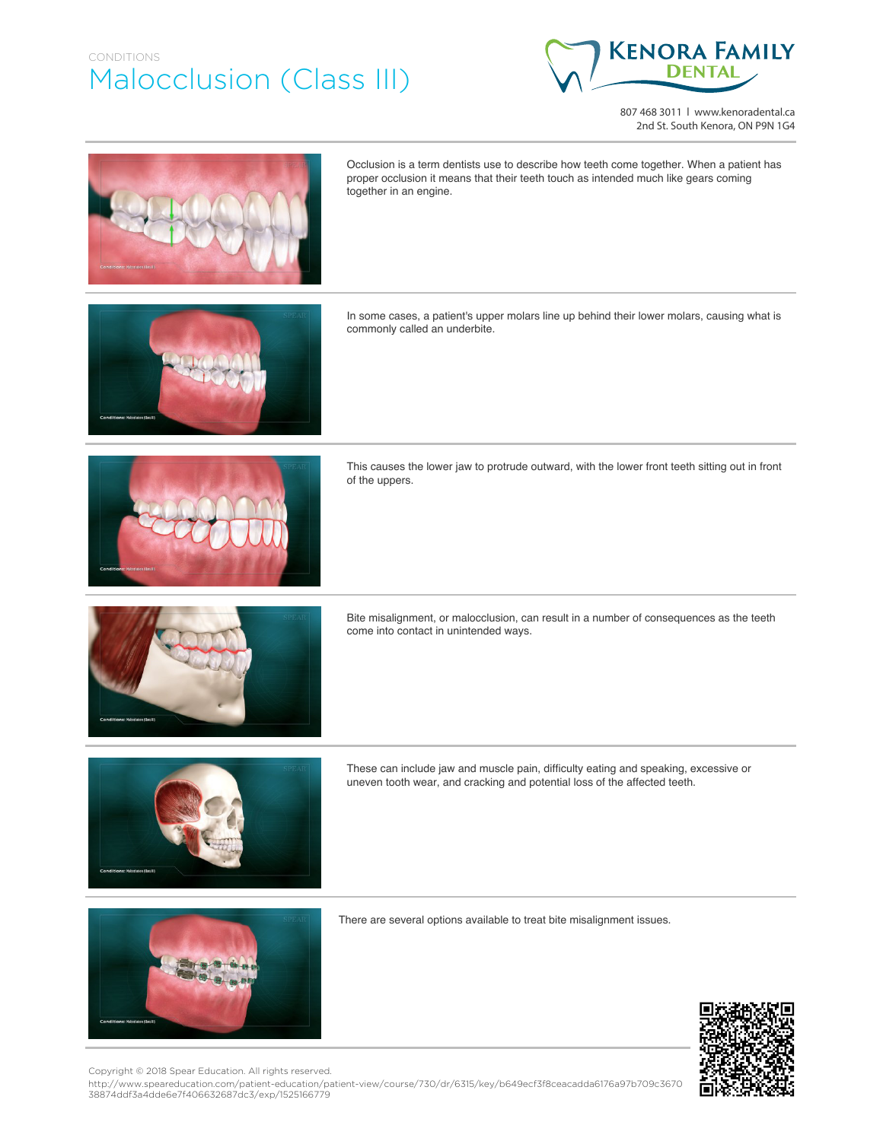## CONDITIONS Malocclusion (Class III)



807 468 3011 | www.kenoradental.ca 2nd St. South Kenora, ON P9N 1G4



Occlusion is a term dentists use to describe how teeth come together. When a patient has proper occlusion it means that their teeth touch as intended much like gears coming together in an engine.

In some cases, a patient's upper molars line up behind their lower molars, causing what is commonly called an underbite.



This causes the lower jaw to protrude outward, with the lower front teeth sitting out in front of the uppers.







come into contact in unintended ways.

Bite misalignment, or malocclusion, can result in a number of consequences as the teeth





There are several options available to treat bite misalignment issues.



http://www.speareducation.com/patient-education/patient-view/course/730/dr/6315/key/b649ecf3f8ceacadda6176a97b709c3670 38874ddf3a4dde6e7f406632687dc3/exp/1525166779 Copyright © 2018 Spear Education. All rights reserved.